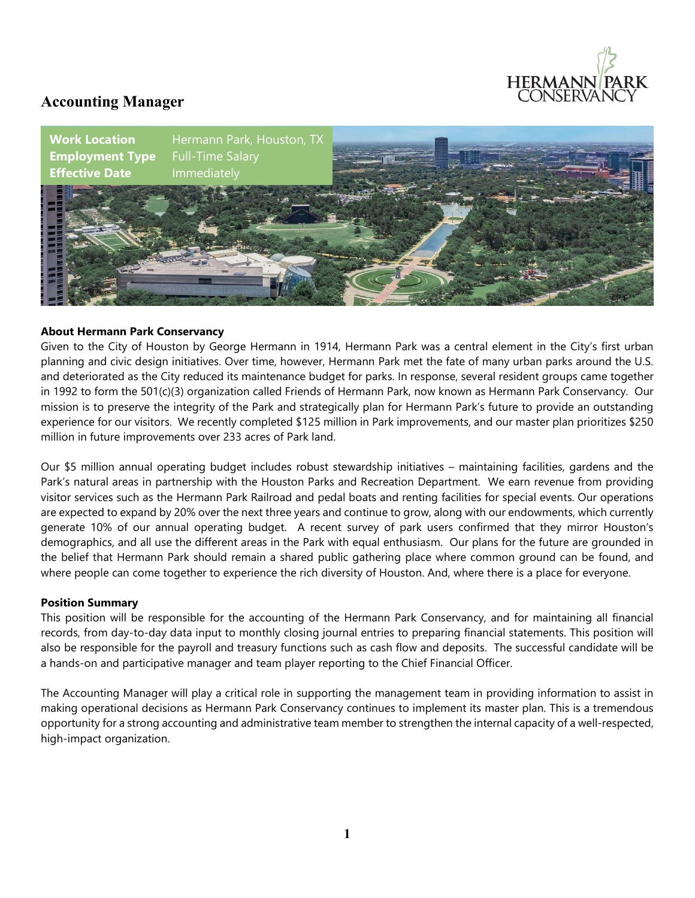

## **Accounting Manager**



#### **About Hermann Park Conservancy**

Given to the City of Houston by George Hermann in 1914, Hermann Park was a central element in the City's first urban planning and civic design initiatives. Over time, however, Hermann Park met the fate of many urban parks around the U.S. and deteriorated as the City reduced its maintenance budget for parks. In response, several resident groups came together in 1992 to form the 501(c)(3) organization called Friends of Hermann Park, now known as Hermann Park Conservancy. Our mission is to preserve the integrity of the Park and strategically plan for Hermann Park's future to provide an outstanding experience for our visitors. We recently completed \$125 million in Park improvements, and our master plan prioritizes \$250 million in future improvements over 233 acres of Park land.

Our \$5 million annual operating budget includes robust stewardship initiatives – maintaining facilities, gardens and the Park's natural areas in partnership with the Houston Parks and Recreation Department. We earn revenue from providing visitor services such as the Hermann Park Railroad and pedal boats and renting facilities for special events. Our operations are expected to expand by 20% over the next three years and continue to grow, along with our endowments, which currently generate 10% of our annual operating budget. A recent survey of park users confirmed that they mirror Houston's demographics, and all use the different areas in the Park with equal enthusiasm. Our plans for the future are grounded in the belief that Hermann Park should remain a shared public gathering place where common ground can be found, and where people can come together to experience the rich diversity of Houston. And, where there is a place for everyone.

#### **Position Summary**

This position will be responsible for the accounting of the Hermann Park Conservancy, and for maintaining all financial records, from day-to-day data input to monthly closing journal entries to preparing financial statements. This position will also be responsible for the payroll and treasury functions such as cash flow and deposits. The successful candidate will be a hands-on and participative manager and team player reporting to the Chief Financial Officer.

The Accounting Manager will play a critical role in supporting the management team in providing information to assist in making operational decisions as Hermann Park Conservancy continues to implement its master plan. This is a tremendous opportunity for a strong accounting and administrative team member to strengthen the internal capacity of a well-respected, high-impact organization.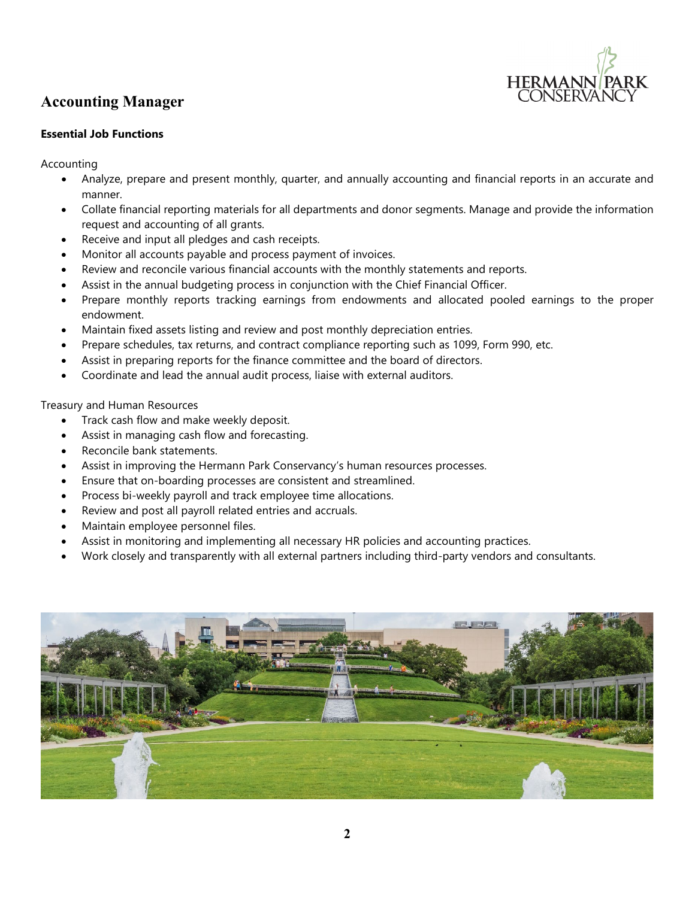

## **Accounting Manager**

### **Essential Job Functions**

Accounting

- Analyze, prepare and present monthly, quarter, and annually accounting and financial reports in an accurate and manner.
- Collate financial reporting materials for all departments and donor segments. Manage and provide the information request and accounting of all grants.
- Receive and input all pledges and cash receipts.
- Monitor all accounts payable and process payment of invoices.
- Review and reconcile various financial accounts with the monthly statements and reports.
- Assist in the annual budgeting process in conjunction with the Chief Financial Officer.
- Prepare monthly reports tracking earnings from endowments and allocated pooled earnings to the proper endowment.
- Maintain fixed assets listing and review and post monthly depreciation entries.
- Prepare schedules, tax returns, and contract compliance reporting such as 1099, Form 990, etc.
- Assist in preparing reports for the finance committee and the board of directors.
- Coordinate and lead the annual audit process, liaise with external auditors.

Treasury and Human Resources

- Track cash flow and make weekly deposit.
- Assist in managing cash flow and forecasting.
- Reconcile bank statements.
- Assist in improving the Hermann Park Conservancy's human resources processes.
- Ensure that on-boarding processes are consistent and streamlined.
- Process bi-weekly payroll and track employee time allocations.
- Review and post all payroll related entries and accruals.
- Maintain employee personnel files.
- Assist in monitoring and implementing all necessary HR policies and accounting practices.
- Work closely and transparently with all external partners including third-party vendors and consultants.